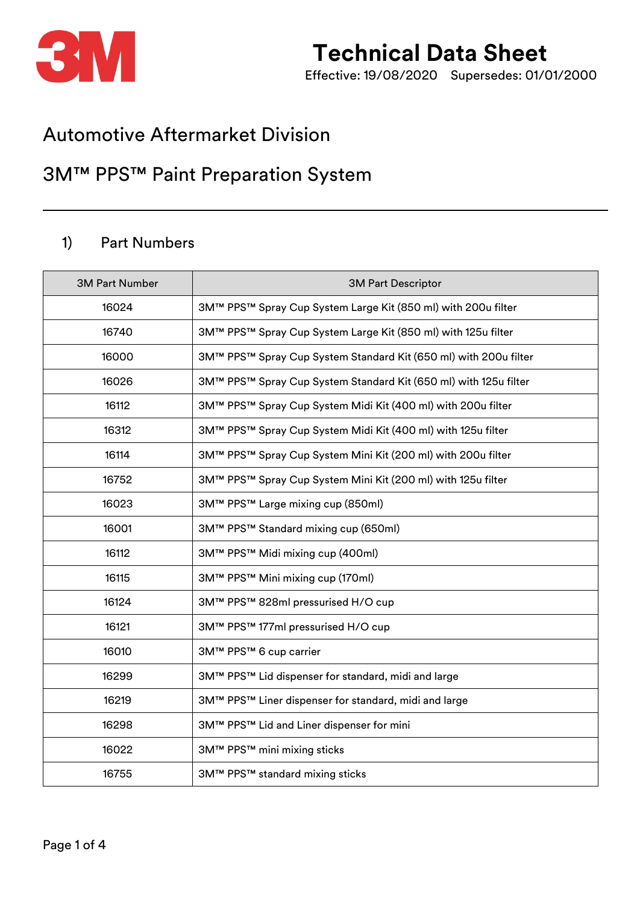

# **Technical Data Sheet**

Effective: 19/08/2020 Supersedes: 01/01/2000

### Automotive Aftermarket Division

### 3M™ PPS™ Paint Preparation System

#### 1) Part Numbers

| <b>3M Part Number</b> | <b>3M Part Descriptor</b>                                        |  |  |
|-----------------------|------------------------------------------------------------------|--|--|
| 16024                 | 3M™ PPS™ Spray Cup System Large Kit (850 ml) with 200u filter    |  |  |
| 16740                 | 3M™ PPS™ Spray Cup System Large Kit (850 ml) with 125u filter    |  |  |
| 16000                 | 3M™ PPS™ Spray Cup System Standard Kit (650 ml) with 200u filter |  |  |
| 16026                 | 3M™ PPS™ Spray Cup System Standard Kit (650 ml) with 125u filter |  |  |
| 16112                 | 3M™ PPS™ Spray Cup System Midi Kit (400 ml) with 200u filter     |  |  |
| 16312                 | 3M™ PPS™ Spray Cup System Midi Kit (400 ml) with 125u filter     |  |  |
| 16114                 | 3M™ PPS™ Spray Cup System Mini Kit (200 ml) with 200u filter     |  |  |
| 16752                 | 3M™ PPS™ Spray Cup System Mini Kit (200 ml) with 125u filter     |  |  |
| 16023                 | 3M™ PPS™ Large mixing cup (850ml)                                |  |  |
| 16001                 | 3M™ PPS™ Standard mixing cup (650ml)                             |  |  |
| 16112                 | 3M™ PPS™ Midi mixing cup (400ml)                                 |  |  |
| 16115                 | 3M™ PPS™ Mini mixing cup (170ml)                                 |  |  |
| 16124                 | 3M™ PPS™ 828ml pressurised H/O cup                               |  |  |
| 16121                 | 3M™ PPS™ 177ml pressurised H/O cup                               |  |  |
| 16010                 | 3M™ PPS™ 6 cup carrier                                           |  |  |
| 16299                 | 3M™ PPS™ Lid dispenser for standard, midi and large              |  |  |
| 16219                 | 3M™ PPS™ Liner dispenser for standard, midi and large            |  |  |
| 16298                 | 3M™ PPS™ Lid and Liner dispenser for mini                        |  |  |
| 16022                 | 3M™ PPS™ mini mixing sticks                                      |  |  |
| 16755                 | 3M™ PPS™ standard mixing sticks                                  |  |  |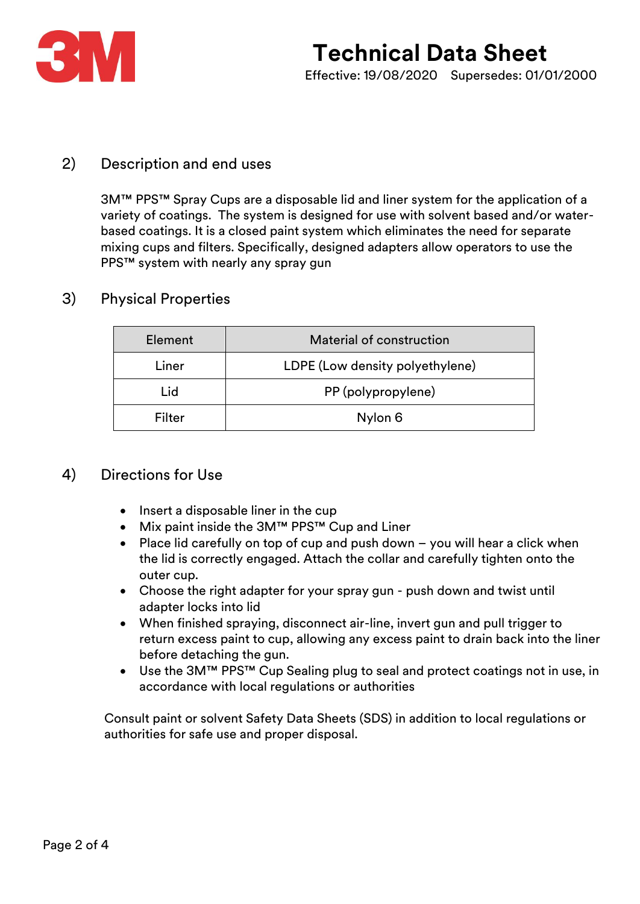

#### 2) Description and end uses

3M™ PPS™ Spray Cups are a disposable lid and liner system for the application of a variety of coatings. The system is designed for use with solvent based and/or waterbased coatings. It is a closed paint system which eliminates the need for separate mixing cups and filters. Specifically, designed adapters allow operators to use the PPS™ system with nearly any spray gun

#### 3) Physical Properties

| Element | Material of construction        |  |
|---------|---------------------------------|--|
| Liner   | LDPE (Low density polyethylene) |  |
| Lid     | PP (polypropylene)              |  |
| Filter  | Nylon 6                         |  |

#### 4) Directions for Use

- Insert a disposable liner in the cup
- Mix paint inside the 3M™ PPS™ Cup and Liner
- Place lid carefully on top of cup and push down you will hear a click when the lid is correctly engaged. Attach the collar and carefully tighten onto the outer cup.
- Choose the right adapter for your spray gun push down and twist until adapter locks into lid
- When finished spraying, disconnect air-line, invert gun and pull trigger to return excess paint to cup, allowing any excess paint to drain back into the liner before detaching the gun.
- Use the 3M™ PPS™ Cup Sealing plug to seal and protect coatings not in use, in accordance with local regulations or authorities

 Consult paint or solvent Safety Data Sheets (SDS) in addition to local regulations or authorities for safe use and proper disposal.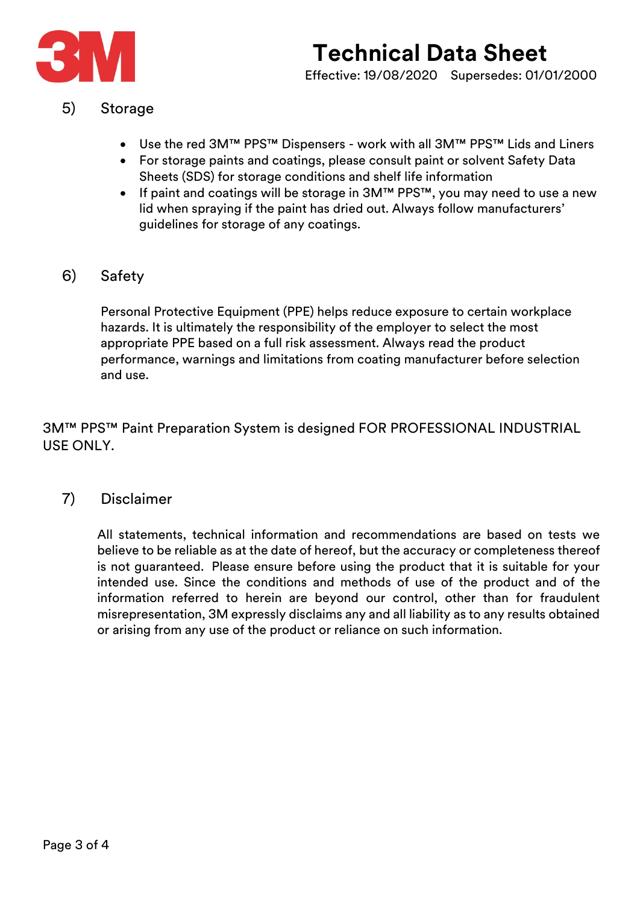

#### 5) Storage

- Use the red 3M™ PPS™ Dispensers work with all 3M™ PPS™ Lids and Liners
- For storage paints and coatings, please consult paint or solvent Safety Data Sheets (SDS) for storage conditions and shelf life information
- If paint and coatings will be storage in 3M™ PPS™, you may need to use a new lid when spraying if the paint has dried out. Always follow manufacturers' guidelines for storage of any coatings.
- 6) Safety

Personal Protective Equipment (PPE) helps reduce exposure to certain workplace hazards. It is ultimately the responsibility of the employer to select the most appropriate PPE based on a full risk assessment. Always read the product performance, warnings and limitations from coating manufacturer before selection and use.

3M™ PPS™ Paint Preparation System is designed FOR PROFESSIONAL INDUSTRIAL USE ONLY.

7) Disclaimer

All statements, technical information and recommendations are based on tests we believe to be reliable as at the date of hereof, but the accuracy or completeness thereof is not guaranteed. Please ensure before using the product that it is suitable for your intended use. Since the conditions and methods of use of the product and of the information referred to herein are beyond our control, other than for fraudulent misrepresentation, 3M expressly disclaims any and all liability as to any results obtained or arising from any use of the product or reliance on such information.